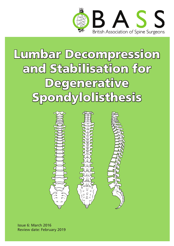

# Lumbar Decompression and Stabilisation for **Degenerative Spondylolisthesis**



Issue 6: March 2016 Review date: February 2019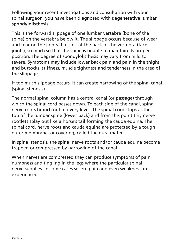Following your recent investigations and consultation with your spinal surgeon, you have been diagnosed with **degenerative lumbar spondylolisthesis**.

This is the forward slippage of one lumbar vertebra (bone of the spine) on the vertebra below it. The slippage occurs because of wear and tear on the joints that link at the back of the vertebra (facet joints), so much so that the spine is unable to maintain its proper position. The degree of spondylolisthesis may vary from mild to severe. Symptoms may include lower back pain and pain in the thighs and buttocks, stiffness, muscle tightness and tenderness in the area of the slippage.

If too much slippage occurs, it can create narrowing of the spinal canal (spinal stenosis).

The normal spinal column has a central canal (or passage) through which the spinal cord passes down. To each side of the canal, spinal nerve roots branch out at every level. The spinal cord stops at the top of the lumbar spine (lower back) and from this point tiny nerve rootlets splay out like a horse's tail forming the cauda equina. The spinal cord, nerve roots and cauda equina are protected by a tough outer membrane, or covering, called the dura mater.

In spinal stenosis, the spinal nerve roots and/or cauda equina become trapped or compressed by narrowing of the canal.

When nerves are compressed they can produce symptoms of pain, numbness and tingling in the legs where the particular spinal nerve supplies. In some cases severe pain and even weakness are experienced.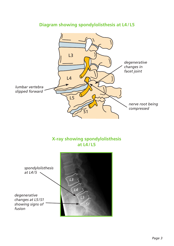

#### **Diagram showing spondylolisthesis at L4/ L5**

#### **X-ray showing spondylolisthesis at L4/ L5**

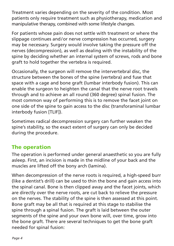Treatment varies depending on the severity of the condition. Most patients only require treatment such as physiotherapy, medication and manipulative therapy, combined with some lifestyle changes.

For patients whose pain does not settle with treatment or where the slippage continues and/or nerve compression has occurred, surgery may be necessary. Surgery would involve taking the pressure off the nerves (decompression), as well as dealing with the instability of the spine by deciding whether an internal system of screws, rods and bone graft to hold together the vertebra is required.

Occasionally, the surgeon will remove the intervertebral disc, the structure between the bones of the spine (vertebra) and fuse that space with a cage and bone graft (lumbar interbody fusion). This can enable the surgeon to heighten the canal that the nerve root travels through and to achieve an all round (360 degree) spinal fusion. The most common way of performing this is to remove the facet joint on one side of the spine to gain access to the disc (transforaminal lumbar interbody fusion [TLIF]).

Sometimes radical decompression surgery can further weaken the spine's stability, so the exact extent of surgery can only be decided during the procedure.

## The operation

The operation is performed under general anaesthetic so you are fully asleep. First, an incision is made in the midline of your back and the muscles are lifted off the bony arch (lamina).

When decompression of the nerve roots is required, a high-speed burr (like a dentist's drill) can be used to thin the bone and gain access into the spinal canal. Bone is then clipped away and the facet joints, which are directly over the nerve roots, are cut back to relieve the pressure on the nerves. The stability of the spine is then assessed at this point. Bone graft may be all that is required at this stage to stabilise the spine through a spinal fusion. The graft is laid between the outer segments of the spine and your own bone will, over time, grow into the bone graft. There are several techniques to get the bone graft needed for spinal fusion: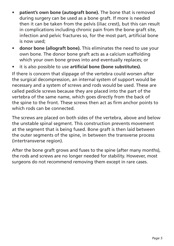- **• patient's own bone (autograft bone).** The bone that is removed during surgery can be used as a bone graft. If more is needed then it can be taken from the pelvis (iliac crest), but this can result in complications including chronic pain from the bone graft site, infection and pelvic fractures so, for the most part, artificial bone is now used;
- **• donor bone (allograft bone).** This eliminates the need to use your own bone. The donor bone graft acts as a calcium scaffolding which your own bone grows into and eventually replaces; or
- • it is also possible to use **artificial bone (bone substitutes).**

If there is concern that slippage of the vertebra could worsen after the surgical decompression, an internal system of support would be necessary and a system of screws and rods would be used. These are called pedicle screws because they are placed into the part of the vertebra of the same name, which goes directly from the back of the spine to the front. These screws then act as firm anchor points to which rods can be connected.

The screws are placed on both sides of the vertebra, above and below the unstable spinal segment. This construction prevents movement at the segment that is being fused. Bone graft is then laid between the outer segments of the spine, in between the transverse process (intertransverse region).

After the bone graft grows and fuses to the spine (after many months), the rods and screws are no longer needed for stability. However, most surgeons do not recommend removing them except in rare cases.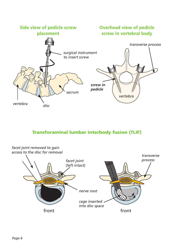

#### Transforaminal lumbar interbody fusion (TLIF)

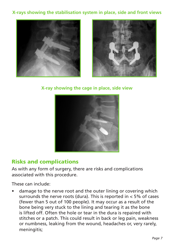#### **X-rays showing the stabilisation system in place, side and front views**





**X-ray showing the cage in place, side view**



## Risks and complications

As with any form of surgery, there are risks and complications associated with this procedure.

These can include:

damage to the nerve root and the outer lining or covering which surrounds the nerve roots (dura). This is reported in < 5% of cases (fewer than 5 out of 100 people). It may occur as a result of the bone being very stuck to the lining and tearing it as the bone is lifted off. Often the hole or tear in the dura is repaired with stitches or a patch. This could result in back or leg pain, weakness or numbness, leaking from the wound, headaches or, very rarely, meningitis;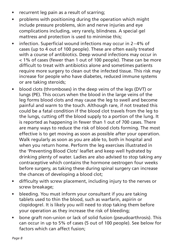- recurrent leg pain as a result of scarring;
- problems with positioning during the operation which might include pressure problems, skin and nerve injuries and eye complications including, very rarely, blindness. A special gel mattress and protection is used to minimise this;
- infection. Superficial wound infections may occur in 2–4% of cases (up to 4 out of 100 people). These are often easily treated with a course of antibiotics. Deep wound infections may occur in < 1% of cases (fewer than 1 out of 100 people). These can be more difficult to treat with antibiotics alone and sometimes patients require more surgery to clean out the infected tissue. This risk may increase for people who have diabetes, reduced immune systems or are taking steroids;
- blood clots (thromboses) in the deep veins of the legs (DVT) or lungs (PE). This occurs when the blood in the large veins of the leg forms blood clots and may cause the leg to swell and become painful and warm to the touch. Although rare, if not treated this could be a fatal condition if the blood clot travels from the leg to the lungs, cutting off the blood supply to a portion of the lung. It is reported as happening in fewer than 1 out of 700 cases. There are many ways to reduce the risk of blood clots forming. The most effective is to get moving as soon as possible after your operation. Walk regularly as soon as you are able to, both in hospital and when you return home. Perform the leg exercises illustrated in the 'Preventing Blood Clots' leaflet and keep well hydrated by drinking plenty of water. Ladies are also advised to stop taking any contraceptive which contains the hormone oestrogen four weeks before surgery, as taking these during spinal surgery can increase the chances of developing a blood clot;
- difficulty with screw placement, including injury to the nerves or screw breakage;
- bleeding. You must inform your consultant if you are taking tablets used to thin the blood, such as warfarin, aspirin or clopidogrel. It is likely you will need to stop taking them before your operation as they increase the risk of bleeding;
- bone graft non-union or lack of solid fusion (pseudoarthrosis). This can occur in up to 5% of cases (5 out of 100 people). See below for factors which can affect fusion;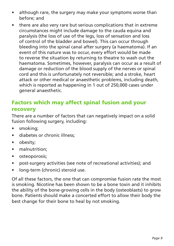- although rare, the surgery may make your symptoms worse than before; and
- there are also very rare but serious complications that in extreme circumstances might include damage to the cauda equina and paralysis (the loss of use of the legs, loss of sensation and loss of control of the bladder and bowel). This can occur through bleeding into the spinal canal after surgery (a haematoma). If an event of this nature was to occur, every effort would be made to reverse the situation by returning to theatre to wash out the haematoma. Sometimes, however, paralysis can occur as a result of damage or reduction of the blood supply of the nerves or spinal cord and this is unfortunately not reversible; and a stroke, heart attack or other medical or anaesthetic problems, including death, which is reported as happening in 1 out of 250,000 cases under general anaesthetic.

#### Factors which may affect spinal fusion and your recovery

There are a number of factors that can negatively impact on a solid fusion following surgery, including:

- smoking:
- diabetes or chronic illness:
- obesity:
- malnutrition:
- • osteoporosis;
- post-surgery activities (see note of recreational activities); and
- long-term (chronic) steroid use.

Of all these factors, the one that can compromise fusion rate the most is smoking. Nicotine has been shown to be a bone toxin and it inhibits the ability of the bone-growing cells in the body (osteoblasts) to grow bone. Patients should make a concerted effort to allow their body the best change for their bone to heal by not smoking.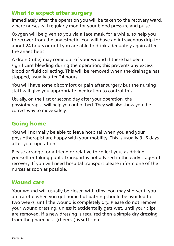## What to expect after surgery

Immediately after the operation you will be taken to the recovery ward, where nurses will regularly monitor your blood pressure and pulse.

Oxygen will be given to you via a face mask for a while, to help you to recover from the anaesthetic. You will have an intravenous drip for about 24 hours or until you are able to drink adequately again after the anaesthetic.

A drain (tube) may come out of your wound if there has been significant bleeding during the operation; this prevents any excess blood or fluid collecting. This will be removed when the drainage has stopped, usually after 24 hours.

You will have some discomfort or pain after surgery but the nursing staff will give you appropriate medication to control this.

Usually, on the first or second day after your operation, the physiotherapist will help you out of bed. They will also show you the correct way to move safely.

## Going home

You will normally be able to leave hospital when you and your physiotherapist are happy with your mobility. This is usually 3–6 days after your operation.

Please arrange for a friend or relative to collect you, as driving yourself or taking public transport is not advised in the early stages of recovery. If you will need hospital transport please inform one of the nurses as soon as possible.

#### Wound care

Your wound will usually be closed with clips. You may shower if you are careful when you get home but bathing should be avoided for two weeks, until the wound is completely dry. Please do not remove your wound dressing, unless it accidentally gets wet, until your clips are removed. If a new dressing is required then a simple dry dressing from the pharmacist (chemist) is sufficient.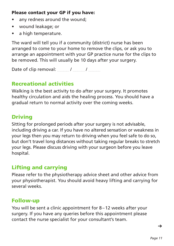#### Please contact your GP if you have:

- any redness around the wound;
- wound leakage; or
- • a high temperature.

The ward will tell you if a community (district) nurse has been arranged to come to your home to remove the clips, or ask you to arrange an appointment with your GP practice nurse for the clips to be removed. This will usually be 10 days after your surgery.

Date of clip removal: / /

## Recreational activities

Walking is the best activity to do after your surgery. It promotes healthy circulation and aids the healing process. You should have a gradual return to normal activity over the coming weeks.

#### Driving

Sitting for prolonged periods after your surgery is not advisable, including driving a car. If you have no altered sensation or weakness in your legs then you may return to driving when you feel safe to do so, but don't travel long distances without taking regular breaks to stretch your legs. Please discuss driving with your surgeon before you leave hospital.

## Lifting and carrying

Please refer to the physiotherapy advice sheet and other advice from your physiotherapist. You should avoid heavy lifting and carrying for several weeks.

#### Follow-up

You will be sent a clinic appointment for 8–12 weeks after your surgery. If you have any queries before this appointment please contact the nurse specialist for your consultant's team.

 $\rightarrow$